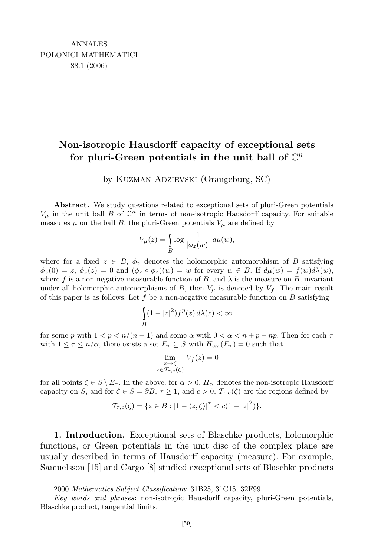## **Non-isotropic Hausdorff capacity of exceptional sets** for pluri-Green potentials in the unit ball of  $\mathbb{C}^n$

by Kuzman Adzievski (Orangeburg, SC)

**Abstract.** We study questions related to exceptional sets of pluri-Green potentials  $V_\mu$  in the unit ball *B* of  $\mathbb{C}^n$  in terms of non-isotropic Hausdorff capacity. For suitable measures  $\mu$  on the ball *B*, the pluri-Green potentials  $V_{\mu}$  are defined by

$$
V_{\mu}(z) = \int_{B} \log \frac{1}{|\phi_z(w)|} d\mu(w),
$$

where for a fixed  $z \in B$ ,  $\phi_z$  denotes the holomorphic automorphism of *B* satisfying  $\phi_z(0) = z, \ \phi_z(z) = 0$  and  $(\phi_z \circ \phi_z)(w) = w$  for every  $w \in B$ . If  $d\mu(w) = f(w)d\lambda(w)$ , where f is a non-negative measurable function of B, and  $\lambda$  is the measure on B, invariant under all holomorphic automorphisms of *B*, then  $V_\mu$  is denoted by  $V_f$ . The main result of this paper is as follows: Let *f* be a non-negative measurable function on *B* satisfying

$$
\int_{B} (1-|z|^2) f^p(z) \, d\lambda(z) < \infty
$$

for some *p* with  $1 < p < n/(n-1)$  and some  $\alpha$  with  $0 < \alpha < n+p-np$ . Then for each  $\tau$ with  $1 \leq \tau \leq n/\alpha$ , there exists a set  $E_{\tau} \subseteq S$  with  $H_{\alpha\tau}(E_{\tau}) = 0$  such that

$$
\lim_{\substack{z \to \zeta \\ z \in \mathcal{T}_{\tau,c}(\zeta)}} V_f(z) = 0
$$

for all points  $\zeta \in S \setminus E_{\tau}$ . In the above, for  $\alpha > 0$ ,  $H_{\alpha}$  denotes the non-isotropic Hausdorff capacity on *S*, and for  $\zeta \in S = \partial B$ ,  $\tau \geq 1$ , and  $c > 0$ ,  $\mathcal{T}_{\tau,c}(\zeta)$  are the regions defined by

$$
\mathcal{T}_{\tau,c}(\zeta) = \{z \in B : |1 - \langle z, \zeta \rangle|^{\tau} < c(1 - |z|^2) \}.
$$

**1. Introduction.** Exceptional sets of Blaschke products, holomorphic functions, or Green potentials in the unit disc of the complex plane are usually described in terms of Hausdorff capacity (measure). For example, Samuelsson [15] and Cargo [8] studied exceptional sets of Blaschke products

<sup>2000</sup> *Mathematics Subject Classification*: 31B25, 31C15, 32F99.

*Key words and phrases*: non-isotropic Hausdorff capacity, pluri-Green potentials, Blaschke product, tangential limits.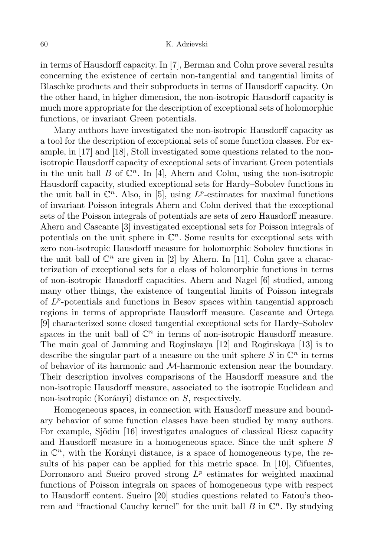in terms of Hausdorff capacity. In [7], Berman and Cohn prove several results concerning the existence of certain non-tangential and tangential limits of Blaschke products and their subproducts in terms of Hausdorff capacity. On the other hand, in higher dimension, the non-isotropic Hausdorff capacity is much more appropriate for the description of exceptional sets of holomorphic functions, or invariant Green potentials.

Many authors have investigated the non-isotropic Hausdorff capacity as a tool for the description of exceptional sets of some function classes. For example, in [17] and [18], Stoll investigated some questions related to the nonisotropic Hausdorff capacity of exceptional sets of invariant Green potentials in the unit ball  $B$  of  $\mathbb{C}^n$ . In [4], Ahern and Cohn, using the non-isotropic Hausdorff capacity, studied exceptional sets for Hardy–Sobolev functions in the unit ball in  $\mathbb{C}^n$ . Also, in [5], using  $L^p$ -estimates for maximal functions of invariant Poisson integrals Ahern and Cohn derived that the exceptional sets of the Poisson integrals of potentials are sets of zero Hausdorff measure. Ahern and Cascante [3] investigated exceptional sets for Poisson integrals of potentials on the unit sphere in  $\mathbb{C}^n$ . Some results for exceptional sets with zero non-isotropic Hausdorff measure for holomorphic Sobolev functions in the unit ball of  $\mathbb{C}^n$  are given in [2] by Ahern. In [11], Cohn gave a characterization of exceptional sets for a class of holomorphic functions in terms of non-isotropic Hausdorff capacities. Ahern and Nagel [6] studied, among many other things, the existence of tangential limits of Poisson integrals of  $L^p$ -potentials and functions in Besov spaces within tangential approach regions in terms of appropriate Hausdorff measure. Cascante and Ortega [9] characterized some closed tangential exceptional sets for Hardy–Sobolev spaces in the unit ball of  $\mathbb{C}^n$  in terms of non-isotropic Hausdorff measure. The main goal of Jamming and Roginskaya [12] and Roginskaya [13] is to describe the singular part of a measure on the unit sphere  $S$  in  $\mathbb{C}^n$  in terms of behavior of its harmonic and *M*-harmonic extension near the boundary. Their description involves comparisons of the Hausdorff measure and the non-isotropic Hausdorff measure, associated to the isotropic Euclidean and non-isotropic (Korányi) distance on *S*, respectively.

Homogeneous spaces, in connection with Hausdorff measure and boundary behavior of some function classes have been studied by many authors. For example, Sjödin [16] investigates analogues of classical Riesz capacity and Hausdorff measure in a homogeneous space. Since the unit sphere *S* in  $\mathbb{C}^n$ , with the Korányi distance, is a space of homogeneous type, the results of his paper can be applied for this metric space. In [10], Cifuentes, Dorronsoro and Sueiro proved strong  $L^p$  estimates for weighted maximal functions of Poisson integrals on spaces of homogeneous type with respect to Hausdorff content. Sueiro [20] studies questions related to Fatou's theorem and "fractional Cauchy kernel" for the unit ball  $B$  in  $\mathbb{C}^n$ . By studying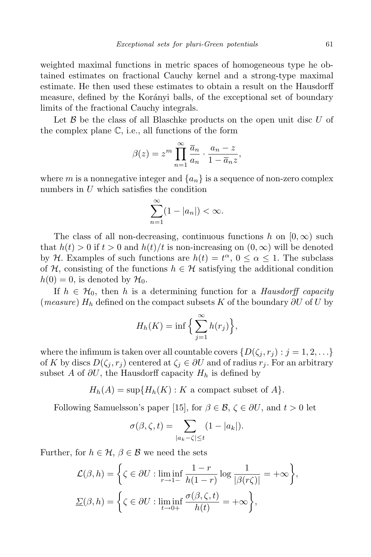weighted maximal functions in metric spaces of homogeneous type he obtained estimates on fractional Cauchy kernel and a strong-type maximal estimate. He then used these estimates to obtain a result on the Hausdorff measure, defined by the Korányi balls, of the exceptional set of boundary limits of the fractional Cauchy integrals.

Let *B* be the class of all Blaschke products on the open unit disc *U* of the complex plane  $\mathbb{C}$ , i.e., all functions of the form

$$
\beta(z) = z^m \prod_{n=1}^{\infty} \frac{\overline{a}_n}{a_n} \cdot \frac{a_n - z}{1 - \overline{a}_n z},
$$

where *m* is a nonnegative integer and  $\{a_n\}$  is a sequence of non-zero complex numbers in *U* which satisfies the condition

$$
\sum_{n=1}^{\infty} (1 - |a_n|) < \infty.
$$

The class of all non-decreasing, continuous functions *h* on  $[0, \infty)$  such that  $h(t) > 0$  if  $t > 0$  and  $h(t)/t$  is non-increasing on  $(0, \infty)$  will be denoted by *H*. Examples of such functions are  $h(t) = t^{\alpha}, 0 \le \alpha \le 1$ . The subclass of  $H$ , consisting of the functions  $h \in H$  satisfying the additional condition  $h(0) = 0$ , is denoted by  $\mathcal{H}_0$ .

If  $h \in \mathcal{H}_0$ , then h is a determining function for a *Hausdorff capacity* (*measure*) *H<sup>h</sup>* defined on the compact subsets *K* of the boundary *∂U* of *U* by

$$
H_h(K) = \inf \Big\{ \sum_{j=1}^{\infty} h(r_j) \Big\},\,
$$

where the infimum is taken over all countable covers  $\{D(\zeta_i, r_i) : j = 1, 2, \ldots\}$ of *K* by discs  $D(\zeta_i, r_i)$  centered at  $\zeta_i \in \partial U$  and of radius  $r_i$ . For an arbitrary subset *A* of  $\partial U$ , the Hausdorff capacity  $H_h$  is defined by

 $H_h(A) = \sup\{H_h(K): K \text{ a compact subset of } A\}.$ 

Following Samuelsson's paper [15], for  $\beta \in \mathcal{B}, \zeta \in \partial U$ , and  $t > 0$  let

$$
\sigma(\beta,\zeta,t) = \sum_{|a_k-\zeta|\leq t} (1-|a_k|).
$$

Further, for  $h \in \mathcal{H}$ ,  $\beta \in \mathcal{B}$  we need the sets

$$
\mathcal{L}(\beta, h) = \left\{ \zeta \in \partial U : \liminf_{r \to 1-} \frac{1-r}{h(1-r)} \log \frac{1}{|\beta(r\zeta)|} = +\infty \right\},\
$$

$$
\underline{\Sigma}(\beta, h) = \left\{ \zeta \in \partial U : \liminf_{t \to 0+} \frac{\sigma(\beta, \zeta, t)}{h(t)} = +\infty \right\},\
$$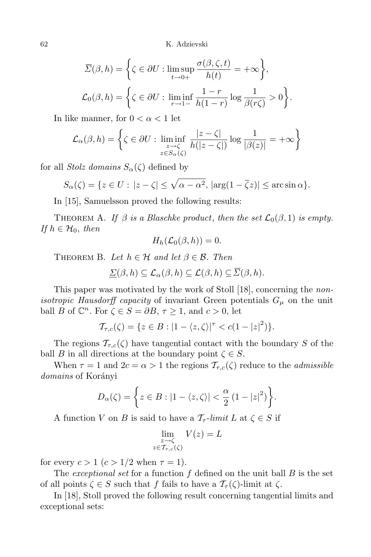62 K. Adzievski

$$
\overline{\Sigma}(\beta, h) = \left\{ \zeta \in \partial U : \limsup_{t \to 0+} \frac{\sigma(\beta, \zeta, t)}{h(t)} = +\infty \right\},\
$$

$$
\mathcal{L}_0(\beta, h) = \left\{ \zeta \in \partial U : \liminf_{r \to 1-} \frac{1-r}{h(1-r)} \log \frac{1}{\beta(r\zeta)} > 0 \right\}.
$$

In like manner, for  $0 < \alpha < 1$  let

$$
\mathcal{L}_{\alpha}(\beta, h) = \left\{ \zeta \in \partial U : \liminf_{\substack{z \to \zeta \\ z \in S_{\alpha}(\zeta)}} \frac{|z - \zeta|}{h(|z - \zeta|)} \log \frac{1}{|\beta(z)|} = +\infty \right\}
$$

for all *Stolz domains*  $S_\alpha(\zeta)$  defined by

$$
S_{\alpha}(\zeta) = \{ z \in U : |z - \zeta| \le \sqrt{\alpha - \alpha^2}, \, |\arg(1 - \overline{\zeta}z)| \le \arcsin \alpha \}.
$$

In [15], Samuelsson proved the following results:

THEOREM A. *If*  $\beta$  *is a Blaschke product, then the set*  $\mathcal{L}_0(\beta, 1)$  *is empty. If*  $h \in \mathcal{H}_0$ , *then* 

$$
H_h(\mathcal{L}_0(\beta,h))=0.
$$

THEOREM B. Let  $h \in \mathcal{H}$  and let  $\beta \in \mathcal{B}$ . Then

$$
\underline{\Sigma}(\beta, h) \subseteq \mathcal{L}_{\alpha}(\beta, h) \subseteq \mathcal{L}(\beta, h) \subseteq \Sigma(\beta, h).
$$

This paper was motivated by the work of Stoll [18], concerning the *nonisotropic Hausdorff capacity* of invariant Green potentials  $G_\mu$  on the unit ball *B* of  $\mathbb{C}^n$ . For  $\zeta \in S = \partial B, \tau \geq 1$ , and  $c > 0$ , let

$$
\mathcal{T}_{\tau,c}(\zeta) = \{z \in B : |1 - \langle z, \zeta \rangle|^{\tau} < c(1 - |z|^2) \}.
$$

The regions  $\mathcal{T}_{\tau,c}(\zeta)$  have tangential contact with the boundary *S* of the ball *B* in all directions at the boundary point  $\zeta \in S$ .

When  $\tau = 1$  and  $2c = \alpha > 1$  the regions  $\mathcal{T}_{\tau,c}(\zeta)$  reduce to the *admissible domains* of Korányi

$$
D_{\alpha}(\zeta) = \left\{ z \in B : |1 - \langle z, \zeta \rangle| < \frac{\alpha}{2} (1 - |z|^2) \right\}.
$$

A function *V* on *B* is said to have a  $\mathcal{T}_{\tau}$ -*limit*  $L$  at  $\zeta \in S$  if

$$
\lim_{\substack{z \to \zeta \\ z \in \mathcal{T}_{\tau,c}(\zeta)}} V(z) = L
$$

for every  $c > 1$   $(c > 1/2$  when  $\tau = 1$ ).

The *exceptional set* for a function *f* defined on the unit ball *B* is the set of all points  $\zeta \in S$  such that f fails to have a  $\mathcal{T}_{\tau}(\zeta)$ -limit at  $\zeta$ .

In [18], Stoll proved the following result concerning tangential limits and exceptional sets: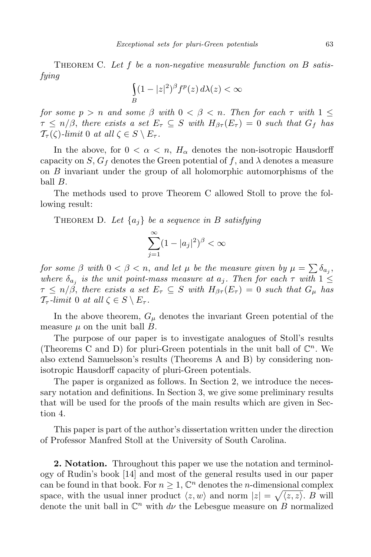Theorem C. *Let f be a non-negative measurable function on B satisfying*

$$
\int_{B} (1 - |z|^2)^{\beta} f^p(z) d\lambda(z) < \infty
$$

*for some*  $p > n$  *and some*  $\beta$  *with*  $0 < \beta < n$ *. Then for each*  $\tau$  *with*  $1 \leq$  $\tau \leq n/\beta$ , *there exists a set*  $E_{\tau} \subseteq S$  *with*  $H_{\beta\tau}(E_{\tau}) = 0$  *such that*  $G_f$  *has*  $\mathcal{T}_{\tau}(\zeta)$ -*limit* 0 *at all*  $\zeta \in S \setminus E_{\tau}$ .

In the above, for  $0 < \alpha < n$ ,  $H_{\alpha}$  denotes the non-isotropic Hausdorff capacity on *S*,  $G_f$  denotes the Green potential of *f*, and  $\lambda$  denotes a measure on *B* invariant under the group of all holomorphic automorphisms of the ball *B*.

The methods used to prove Theorem C allowed Stoll to prove the following result:

THEOREM D. Let  $\{a_i\}$  be a sequence in B satisfying

$$
\sum_{j=1}^{\infty} (1 - |a_j|^2)^{\beta} < \infty
$$

*for some*  $\beta$  *with*  $0 < \beta < n$ , *and let*  $\mu$  *be the measure given by*  $\mu = \sum \delta_{a_j}$ , *where*  $\delta_{a_j}$  *is the unit point-mass measure at*  $a_j$ *. Then for each*  $\tau$  *with*  $1 \leq$  $\tau \leq n/\beta$ , *there exists a set*  $E_{\tau} \subseteq S$  *with*  $H_{\beta\tau}(E_{\tau}) = 0$  *such that*  $G_{\mu}$  *has*  $\mathcal{T}_{\tau}$ *-limit* 0 *at all*  $\zeta \in S \setminus E_{\tau}$ *.* 

In the above theorem,  $G_{\mu}$  denotes the invariant Green potential of the measure *µ* on the unit ball *B*.

The purpose of our paper is to investigate analogues of Stoll's results (Theorems C and D) for pluri-Green potentials in the unit ball of  $\mathbb{C}^n$ . We also extend Samuelsson's results (Theorems A and B) by considering nonisotropic Hausdorff capacity of pluri-Green potentials.

The paper is organized as follows. In Section 2, we introduce the necessary notation and definitions. In Section 3, we give some preliminary results that will be used for the proofs of the main results which are given in Section 4.

This paper is part of the author's dissertation written under the direction of Professor Manfred Stoll at the University of South Carolina.

**2. Notation.** Throughout this paper we use the notation and terminology of Rudin's book [14] and most of the general results used in our paper can be found in that book. For  $n \geq 1$ ,  $\mathbb{C}^n$  denotes the *n*-dimensional complex space, with the usual inner product  $\langle z, w \rangle$  and norm  $|z| = \sqrt{\langle z, z \rangle}$ . *B* will denote the unit ball in  $\mathbb{C}^n$  with  $d\nu$  the Lebesgue measure on *B* normalized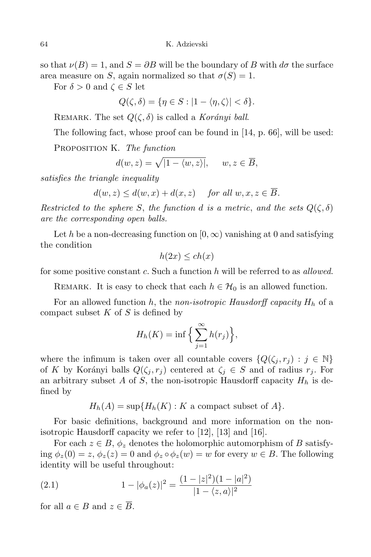so that  $\nu(B) = 1$ , and  $S = \partial B$  will be the boundary of *B* with  $d\sigma$  the surface area measure on *S*, again normalized so that  $\sigma(S) = 1$ .

For  $\delta > 0$  and  $\zeta \in S$  let

$$
Q(\zeta,\delta) = \{\eta \in S : |1 - \langle \eta, \zeta \rangle| < \delta\}.
$$

REMARK. The set  $Q(\zeta, \delta)$  is called a *Korányi ball*.

The following fact, whose proof can be found in [14, p. 66], will be used:

Proposition K. *The function*

$$
d(w, z) = \sqrt{|1 - \langle w, z \rangle|}, \quad w, z \in \overline{B},
$$

*satisfies the triangle inequality*

$$
d(w, z) \le d(w, x) + d(x, z) \quad \text{for all } w, x, z \in \overline{B}.
$$

*Restricted to the sphere S*, the function *d* is a metric, and the sets  $Q(\zeta, \delta)$ *are the corresponding open balls.*

Let *h* be a non-decreasing function on  $[0, \infty)$  vanishing at 0 and satisfying the condition

$$
h(2x) \le ch(x)
$$

for some positive constant *c*. Such a function *h* will be referred to as *allowed*.

REMARK. It is easy to check that each  $h \in \mathcal{H}_0$  is an allowed function.

For an allowed function *h*, the *non-isotropic Hausdorff capacity*  $H_h$  of a compact subset *K* of *S* is defined by

$$
H_h(K) = \inf \Big\{ \sum_{j=1}^{\infty} h(r_j) \Big\},\
$$

where the infimum is taken over all countable covers  $\{Q(\zeta_i, r_i) : j \in \mathbb{N}\}\$ of *K* by Korányi balls  $Q(\zeta_j, r_j)$  centered at  $\zeta_j \in S$  and of radius  $r_j$ . For an arbitrary subset  $A$  of  $S$ , the non-isotropic Hausdorff capacity  $H_h$  is defined by

 $H_h(A) = \sup\{H_h(K): K \text{ a compact subset of } A\}.$ 

For basic definitions, background and more information on the nonisotropic Hausdorff capacity we refer to [12], [13] and [16].

For each  $z \in B$ ,  $\phi_z$  denotes the holomorphic automorphism of *B* satisfying  $\phi_z(0) = z$ ,  $\phi_z(z) = 0$  and  $\phi_z \circ \phi_z(w) = w$  for every  $w \in B$ . The following identity will be useful throughout:

(2.1) 
$$
1 - |\phi_a(z)|^2 = \frac{(1 - |z|^2)(1 - |a|^2)}{|1 - \langle z, a \rangle|^2}
$$

for all  $a \in B$  and  $z \in \overline{B}$ .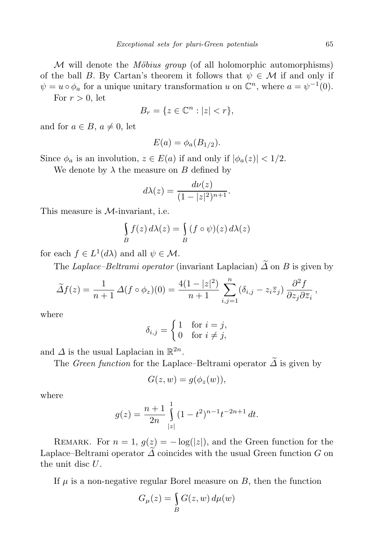*M* will denote the *Möbius group* (of all holomorphic automorphisms) of the ball *B*. By Cartan's theorem it follows that  $\psi \in \mathcal{M}$  if and only if  $\psi = u \circ \phi_a$  for a unique unitary transformation *u* on  $\mathbb{C}^n$ , where  $a = \psi^{-1}(0)$ .

For  $r > 0$ , let

$$
B_r = \{ z \in \mathbb{C}^n : |z| < r \},
$$

and for  $a \in B$ ,  $a \neq 0$ , let

$$
E(a) = \phi_a(B_{1/2}).
$$

Since  $\phi_a$  is an involution,  $z \in E(a)$  if and only if  $|\phi_a(z)| < 1/2$ .

We denote by  $\lambda$  the measure on *B* defined by

$$
d\lambda(z) = \frac{d\nu(z)}{(1-|z|^2)^{n+1}}.
$$

This measure is *M*-invariant, i.e.

$$
\int_{B} f(z) d\lambda(z) = \int_{B} (f \circ \psi)(z) d\lambda(z)
$$

for each  $f \in L^1(d\lambda)$  and all  $\psi \in \mathcal{M}$ .

The *Laplace–Beltrami operator* (invariant Laplacian)  $\widetilde{\Delta}$  on *B* is given by

$$
\widetilde{\Delta}f(z) = \frac{1}{n+1} \,\Delta(f \circ \phi_z)(0) = \frac{4(1-|z|^2)}{n+1} \sum_{i,j=1}^n (\delta_{i,j} - z_i \overline{z}_j) \, \frac{\partial^2 f}{\partial z_j \partial \overline{z}_i},
$$

where

$$
\delta_{i,j} = \begin{cases} 1 & \text{for } i = j, \\ 0 & \text{for } i \neq j, \end{cases}
$$

and  $\Delta$  is the usual Laplacian in  $\mathbb{R}^{2n}$ .

The *Green function* for the Laplace–Beltrami operator  $\widetilde{\Delta}$  is given by

$$
G(z, w) = g(\phi_z(w)),
$$

where

$$
g(z) = \frac{n+1}{2n} \int_{|z|}^{1} (1-t^2)^{n-1} t^{-2n+1} dt.
$$

REMARK. For  $n = 1$ ,  $g(z) = -\log(|z|)$ , and the Green function for the Laplace–Beltrami operator  $\Delta$  coincides with the usual Green function  $G$  on the unit disc *U*.

If  $\mu$  is a non-negative regular Borel measure on  $B$ , then the function

$$
G_{\mu}(z) = \int_{B} G(z, w) d\mu(w)
$$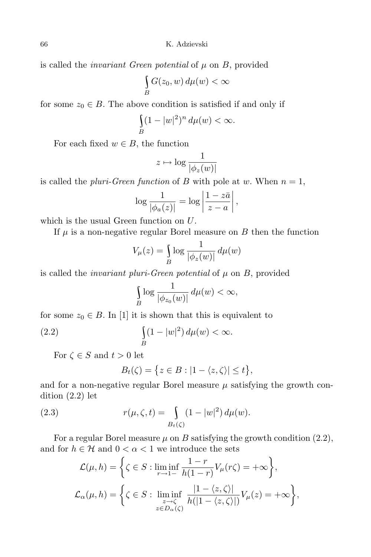is called the *invariant Green potential* of  $\mu$  on  $B$ , provided

$$
\int\limits_B G(z_0, w) d\mu(w) < \infty
$$

for some  $z_0 \in B$ . The above condition is satisfied if and only if

$$
\int_{B} (1-|w|^2)^n \, d\mu(w) < \infty.
$$

For each fixed  $w \in B$ , the function

$$
z \mapsto \log \frac{1}{|\phi_z(w)|}
$$

is called the *pluri-Green function* of *B* with pole at *w*. When  $n = 1$ ,

$$
\log \frac{1}{|\phi_a(z)|} = \log \left| \frac{1 - z\bar{a}}{z - a} \right|,
$$

which is the usual Green function on *U*.

If  $\mu$  is a non-negative regular Borel measure on  $B$  then the function

$$
V_{\mu}(z) = \int_{B} \log \frac{1}{|\phi_{z}(w)|} d\mu(w)
$$

is called the *invariant pluri-Green potential* of  $\mu$  on  $B$ , provided

$$
\int_{B} \log \frac{1}{|\phi_{z_0}(w)|} d\mu(w) < \infty,
$$

for some  $z_0 \in B$ . In [1] it is shown that this is equivalent to

(2.2) 
$$
\int\limits_B (1-|w|^2) d\mu(w) < \infty.
$$

For  $\zeta \in S$  and  $t > 0$  let

$$
B_t(\zeta) = \{ z \in B : |1 - \langle z, \zeta \rangle| \le t \},\
$$

and for a non-negative regular Borel measure  $\mu$  satisfying the growth condition (2*.*2) let

(2.3) 
$$
r(\mu,\zeta,t) = \int_{B_t(\zeta)} (1-|w|^2) d\mu(w).
$$

For a regular Borel measure  $\mu$  on *B* satisfying the growth condition (2.2), and for  $h\in\mathcal{H}$  and  $0<\alpha<1$  we introduce the sets

$$
\mathcal{L}(\mu, h) = \left\{ \zeta \in S : \liminf_{r \to 1^{-}} \frac{1 - r}{h(1 - r)} V_{\mu}(r\zeta) = +\infty \right\},\
$$

$$
\mathcal{L}_{\alpha}(\mu, h) = \left\{ \zeta \in S : \liminf_{\substack{z \to \zeta \\ z \in D_{\alpha}(\zeta)}} \frac{|1 - \langle z, \zeta \rangle|}{h(|1 - \langle z, \zeta \rangle|)} V_{\mu}(z) = +\infty \right\},\
$$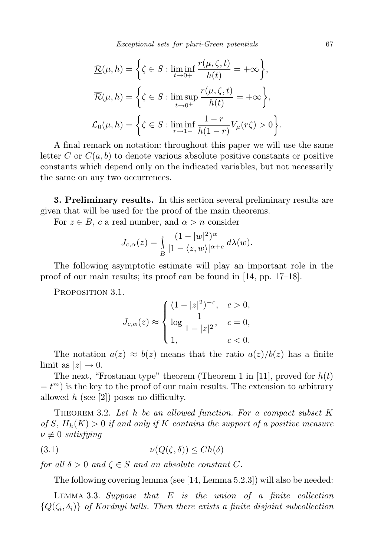*Exceptional sets for pluri-Green potentials* 67

$$
\mathcal{R}(\mu, h) = \left\{ \zeta \in S : \liminf_{t \to 0+} \frac{r(\mu, \zeta, t)}{h(t)} = +\infty \right\},\
$$

$$
\overline{\mathcal{R}}(\mu, h) = \left\{ \zeta \in S : \limsup_{t \to 0+} \frac{r(\mu, \zeta, t)}{h(t)} = +\infty \right\},\
$$

$$
\mathcal{L}_0(\mu, h) = \left\{ \zeta \in S : \liminf_{r \to 1-} \frac{1-r}{h(1-r)} V_\mu(r\zeta) > 0 \right\}.
$$

A final remark on notation: throughout this paper we will use the same letter *C* or  $C(a, b)$  to denote various absolute positive constants or positive constants which depend only on the indicated variables, but not necessarily the same on any two occurrences.

**3. Preliminary results.** In this section several preliminary results are given that will be used for the proof of the main theorems.

For  $z \in B$ , *c* a real number, and  $\alpha > n$  consider

$$
J_{c,\alpha}(z) = \int_{B} \frac{(1-|w|^2)^{\alpha}}{|1-\langle z,w\rangle|^{\alpha+c}} d\lambda(w).
$$

The following asymptotic estimate will play an important role in the proof of our main results; its proof can be found in [14, pp. 17–18].

PROPOSITION 3.1.

$$
J_{c,\alpha}(z) \approx \begin{cases} (1-|z|^2)^{-c}, & c > 0, \\ \log \frac{1}{1-|z|^2}, & c = 0, \\ 1, & c < 0. \end{cases}
$$

The notation  $a(z) \approx b(z)$  means that the ratio  $a(z)/b(z)$  has a finite limit as  $|z| \to 0$ .

The next, "Frostman type" theorem (Theorem 1 in [11], proved for *h*(*t*)  $= t<sup>m</sup>$ ) is the key to the proof of our main results. The extension to arbitrary allowed *h* (see [2]) poses no difficulty.

Theorem 3.2. *Let h be an allowed function. For a compact subset K of*  $S$ ,  $H_h(K) > 0$  *if and only if*  $K$  *contains the support of a positive measure*  $\nu \not\equiv 0$  *satisfying* 

$$
(3.1) \t\t \nu(Q(\zeta,\delta)) \le Ch(\delta)
$$

*for all*  $\delta > 0$  *and*  $\zeta \in S$  *and an absolute constant C.* 

The following covering lemma (see [14, Lemma 5*.*2*.*3]) will also be needed:

Lemma 3.3. *Suppose that E is the union of a finite collection*  ${Q(\zeta_i, \delta_i)}$  *of Korányi balls. Then there exists a finite disjoint subcollection*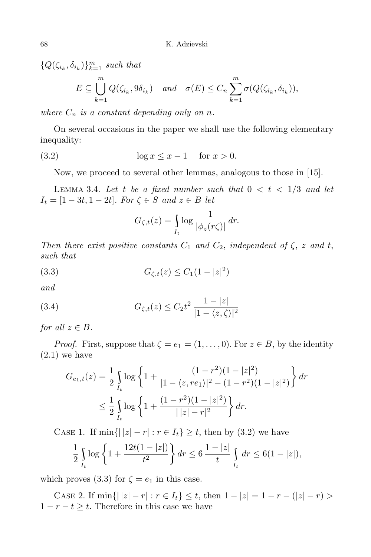$\{Q(\zeta_{i_k}, \delta_{i_k})\}_{k=1}^m$  *such that* 

$$
E \subseteq \bigcup_{k=1}^{m} Q(\zeta_{i_k}, 9\delta_{i_k}) \quad \text{and} \quad \sigma(E) \le C_n \sum_{k=1}^{m} \sigma(Q(\zeta_{i_k}, \delta_{i_k})),
$$

*where*  $C_n$  *is a constant depending only on n.* 

On several occasions in the paper we shall use the following elementary inequality:

(3*.*2) log *x ≤ x −* 1 for *x >* 0.

Now, we proceed to several other lemmas, analogous to those in [15].

LEMMA 3.4. Let t be a fixed number such that  $0 < t < 1/3$  and let  $I_t = [1 - 3t, 1 - 2t]$ *. For*  $\zeta \in S$  *and*  $z \in B$  *let* 

$$
G_{\zeta,t}(z) = \int\limits_{I_t} \log \frac{1}{|\phi_z(r\zeta)|} dr.
$$

*Then there exist positive constants*  $C_1$  *and*  $C_2$ *, independent of*  $\zeta$ *, z and t, such that*

(3.3) 
$$
G_{\zeta,t}(z) \leq C_1(1-|z|^2)
$$

*and*

(3.4) 
$$
G_{\zeta,t}(z) \leq C_2 t^2 \frac{1-|z|}{|1-\langle z,\zeta\rangle|^2}
$$

*for all*  $z \in B$ *.* 

*Proof.* First, suppose that  $\zeta = e_1 = (1, \ldots, 0)$ . For  $z \in B$ , by the identity (2*.*1) we have

$$
G_{e_1,t}(z) = \frac{1}{2} \int_{I_t} \log \left\{ 1 + \frac{(1 - r^2)(1 - |z|^2)}{|1 - \langle z, re_1 \rangle|^2 - (1 - r^2)(1 - |z|^2)} \right\} dr
$$
  

$$
\leq \frac{1}{2} \int_{I_t} \log \left\{ 1 + \frac{(1 - r^2)(1 - |z|^2)}{||z| - r|^2} \right\} dr.
$$

CASE 1. If  $\min\{|z| - r| : r \in I_t\} \geq t$ , then by (3.2) we have

$$
\frac{1}{2} \int_{I_t} \log \left\{ 1 + \frac{12t(1 - |z|)}{t^2} \right\} dr \le 6 \frac{1 - |z|}{t} \int_{I_t} dr \le 6(1 - |z|),
$$

which proves (3.3) for  $\zeta = e_1$  in this case.

CASE 2. If  $\min\{|z| - r| : r \in I_t\} \le t$ , then  $1 - |z| = 1 - r - (|z| - r) >$ 1  $− r − t ≥ t$ . Therefore in this case we have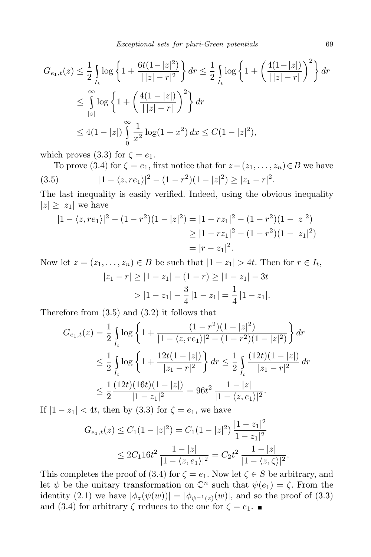$$
G_{e_1,t}(z) \leq \frac{1}{2} \int_{I_t} \log \left\{ 1 + \frac{6t(1-|z|^2)}{||z|-r|^2} \right\} dr \leq \frac{1}{2} \int_{I_t} \log \left\{ 1 + \left( \frac{4(1-|z|)}{||z|-r|} \right)^2 \right\} dr
$$
  

$$
\leq \int_{|z|}^{\infty} \log \left\{ 1 + \left( \frac{4(1-|z|)}{||z|-r|} \right)^2 \right\} dr
$$
  

$$
\leq 4(1-|z|) \int_0^{\infty} \frac{1}{x^2} \log(1+x^2) dx \leq C(1-|z|^2),
$$

which proves (3.3) for  $\zeta = e_1$ .

To prove (3.4) for  $\zeta = e_1$ , first notice that for  $z = (z_1, \ldots, z_n) \in B$  we have  $|1 - \langle z, re_1 \rangle|^2 - (1 - r^2)(1 - |z|^2) \ge |z_1 - r|^2.$ 

The last inequality is easily verified. Indeed, using the obvious inequality  $|z| \geq |z_1|$  we have

$$
|1 - \langle z, re_1 \rangle|^2 - (1 - r^2)(1 - |z|^2) = |1 - rz_1|^2 - (1 - r^2)(1 - |z|^2)
$$
  
\n
$$
\ge |1 - rz_1|^2 - (1 - r^2)(1 - |z_1|^2)
$$
  
\n
$$
= |r - z_1|^2.
$$

Now let  $z = (z_1, \ldots, z_n) \in B$  be such that  $|1 - z_1| > 4t$ . Then for  $r \in I_t$ ,

$$
|z_1 - r| \ge |1 - z_1| - (1 - r) \ge |1 - z_1| - 3t
$$
  
> 
$$
|1 - z_1| - \frac{3}{4}|1 - z_1| = \frac{1}{4}|1 - z_1|.
$$

Therefore from (3.5) and (3.2) it follows that

$$
G_{e_1,t}(z) = \frac{1}{2} \int_{I_t} \log \left\{ 1 + \frac{(1 - r^2)(1 - |z|^2)}{|1 - \langle z, re_1 \rangle|^2 - (1 - r^2)(1 - |z|^2)} \right\} dr
$$
  

$$
\leq \frac{1}{2} \int_{I_t} \log \left\{ 1 + \frac{12t(1 - |z|)}{|z_1 - r|^2} \right\} dr \leq \frac{1}{2} \int_{I_t} \frac{(12t)(1 - |z|)}{|z_1 - r|^2} dr
$$
  

$$
\leq \frac{1}{2} \frac{(12t)(16t)(1 - |z|)}{|1 - z_1|^2} = 96t^2 \frac{1 - |z|}{|1 - \langle z, e_1 \rangle|^2}.
$$

If  $|1 - z_1|$  *< 4t*, then by (3.3) for  $ζ = e_1$ , we have

$$
G_{e_1,t}(z) \le C_1(1-|z|^2) = C_1(1-|z|^2) \frac{|1-z_1|^2}{1-z_1|^2}
$$
  
 
$$
\le 2C_1 16t^2 \frac{1-|z|}{|1-\langle z, e_1 \rangle|^2} = C_2 t^2 \frac{1-|z|}{|1-\langle z, \zeta \rangle|^2}.
$$

This completes the proof of (3.4) for  $\zeta = e_1$ . Now let  $\zeta \in S$  be arbitrary, and let  $\psi$  be the unitary transformation on  $\mathbb{C}^n$  such that  $\psi(e_1) = \zeta$ . From the identity (2.1) we have  $|\phi_z(\psi(w))| = |\phi_{\psi^{-1}(z)}(w)|$ , and so the proof of (3.3) and (3.4) for arbitrary  $\zeta$  reduces to the one for  $\zeta = e_1$ .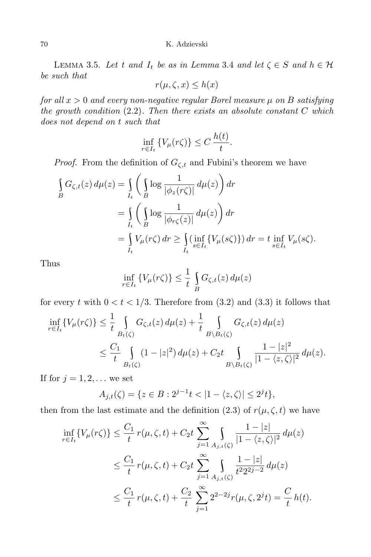LEMMA 3.5. Let *t* and  $I_t$  be as in Lemma 3.4 and let  $\zeta \in S$  and  $h \in H$ *be such that*

$$
r(\mu, \zeta, x) \le h(x)
$$

*for all x >* 0 *and every non-negative regular Borel measure µ on B satisfying the growth condition* (2*.*2)*. Then there exists an absolute constant C which does not depend on t such that*

$$
\inf_{r \in I_t} \{ V_\mu(r\zeta) \} \le C \, \frac{h(t)}{t}.
$$

*Proof.* From the definition of  $G_{\zeta,t}$  and Fubini's theorem we have

$$
\begin{split} \int_{B} G_{\zeta,t}(z) \, d\mu(z) &= \int_{I_t} \bigg( \int_{B} \log \frac{1}{|\phi_z(r\zeta)|} \, d\mu(z) \bigg) \, dr \\ &= \int_{I_t} \bigg( \int_{B} \log \frac{1}{|\phi_{r\zeta}(z)|} \, d\mu(z) \bigg) \, dr \\ &= \int_{I_t} V_\mu(r\zeta) \, dr \ge \int_{I_t} (\inf_{s \in I_t} \{ V_\mu(s\zeta) \}) \, dr = t \inf_{s \in I_t} V_\mu(s\zeta). \end{split}
$$

Thus

$$
\inf_{r \in I_t} \{ V_\mu(r\zeta) \} \le \frac{1}{t} \int_B G_{\zeta,t}(z) \, d\mu(z)
$$

for every *t* with  $0 < t < 1/3$ . Therefore from  $(3.2)$  and  $(3.3)$  it follows that

$$
\inf_{r \in I_t} \{ V_\mu(r\zeta) \} \leq \frac{1}{t} \int_{B_t(\zeta)} G_{\zeta,t}(z) d\mu(z) + \frac{1}{t} \int_{B \setminus B_t(\zeta)} G_{\zeta,t}(z) d\mu(z)
$$
\n
$$
\leq \frac{C_1}{t} \int_{B_t(\zeta)} (1 - |z|^2) d\mu(z) + C_2 t \int_{B \setminus B_t(\zeta)} \frac{1 - |z|^2}{|1 - \langle z, \zeta \rangle|^2} d\mu(z).
$$

If for  $j = 1, 2, \ldots$  we set

$$
A_{j,t}(\zeta) = \{ z \in B : 2^{j-1}t < |1 - \langle z, \zeta \rangle | \le 2^j t \},\
$$

then from the last estimate and the definition (2.3) of  $r(\mu, \zeta, t)$  we have

$$
\inf_{r \in I_t} \{ V_\mu(r\zeta) \} \leq \frac{C_1}{t} r(\mu, \zeta, t) + C_2 t \sum_{j=1}^{\infty} \int_{A_{j,t}(\zeta)} \frac{1 - |z|}{|1 - \langle z, \zeta \rangle|^2} d\mu(z)
$$
\n
$$
\leq \frac{C_1}{t} r(\mu, \zeta, t) + C_2 t \sum_{j=1}^{\infty} \int_{A_{j,t}(\zeta)} \frac{1 - |z|}{t^2 2^{2j - 2}} d\mu(z)
$$
\n
$$
\leq \frac{C_1}{t} r(\mu, \zeta, t) + \frac{C_2}{t} \sum_{j=1}^{\infty} 2^{2 - 2j} r(\mu, \zeta, 2^j t) = \frac{C}{t} h(t).
$$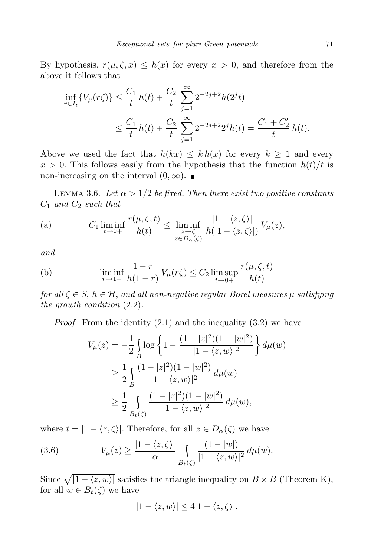By hypothesis,  $r(\mu, \zeta, x) \leq h(x)$  for every  $x > 0$ , and therefore from the above it follows that

$$
\inf_{r \in I_t} \{ V_\mu(r\zeta) \} \le \frac{C_1}{t} h(t) + \frac{C_2}{t} \sum_{j=1}^\infty 2^{-2j+2} h(2^j t) \n\le \frac{C_1}{t} h(t) + \frac{C_2}{t} \sum_{j=1}^\infty 2^{-2j+2} 2^j h(t) = \frac{C_1 + C_2'}{t} h(t).
$$

Above we used the fact that  $h(kx) \leq kh(x)$  for every  $k \geq 1$  and every  $x > 0$ . This follows easily from the hypothesis that the function  $h(t)/t$  is non-increasing on the interval  $(0, \infty)$ .

LEMMA 3.6. Let  $\alpha > 1/2$  be fixed. Then there exist two positive constants *C*<sup>1</sup> *and C*<sup>2</sup> *such that*

(a) 
$$
C_1 \liminf_{t \to 0+} \frac{r(\mu, \zeta, t)}{h(t)} \leq \liminf_{\substack{z \to \zeta \\ z \in D_{\alpha}(\zeta)}} \frac{|1 - \langle z, \zeta \rangle|}{h(|1 - \langle z, \zeta \rangle|)} V_{\mu}(z),
$$

*and*

(b) 
$$
\liminf_{r \to 1^{-}} \frac{1-r}{h(1-r)} V_{\mu}(r\zeta) \leq C_2 \limsup_{t \to 0^{+}} \frac{r(\mu, \zeta, t)}{h(t)}
$$

*for all*  $\zeta \in S$ ,  $h \in H$ , *and all non-negative regular Borel measures*  $\mu$  *satisfying the growth condition* (2*.*2)*.*

*Proof.* From the identity (2*.*1) and the inequality (3*.*2) we have

$$
V_{\mu}(z) = -\frac{1}{2} \int_{B} \log \left\{ 1 - \frac{(1 - |z|^2)(1 - |w|^2)}{|1 - \langle z, w \rangle|^2} \right\} d\mu(w)
$$
  
\n
$$
\geq \frac{1}{2} \int_{B} \frac{(1 - |z|^2)(1 - |w|^2)}{|1 - \langle z, w \rangle|^2} d\mu(w)
$$
  
\n
$$
\geq \frac{1}{2} \int_{B_{\ell}(\zeta)} \frac{(1 - |z|^2)(1 - |w|^2)}{|1 - \langle z, w \rangle|^2} d\mu(w),
$$

where  $t = |1 - \langle z, \zeta \rangle|$ . Therefore, for all  $z \in D_\alpha(\zeta)$  we have

(3.6) 
$$
V_{\mu}(z) \geq \frac{|1-\langle z,\zeta\rangle|}{\alpha} \int_{B_{t}(\zeta)} \frac{(1-|w|)}{|1-\langle z,w\rangle|^{2}} d\mu(w).
$$

Since  $\sqrt{|1 - \langle z, w \rangle|}$  satisfies the triangle inequality on  $\overline{B} \times \overline{B}$  (Theorem K), for all  $w \in B_t(\zeta)$  we have

$$
|1 - \langle z, w \rangle| \le 4|1 - \langle z, \zeta \rangle|.
$$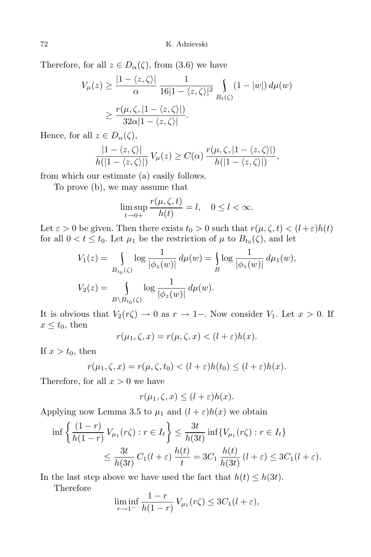Therefore, for all  $z \in D_\alpha(\zeta)$ , from (3.6) we have

$$
V_{\mu}(z) \ge \frac{|1 - \langle z, \zeta \rangle|}{\alpha} \frac{1}{16|1 - \langle z, \zeta \rangle|^2} \int_{B_t(\zeta)} (1 - |w|) d\mu(w)
$$
  
 
$$
\ge \frac{r(\mu, \zeta, |1 - \langle z, \zeta \rangle|)}{32\alpha|1 - \langle z, \zeta \rangle|}.
$$

Hence, for all  $z \in D_\alpha(\zeta)$ ,

$$
\frac{|1-\langle z,\zeta\rangle|}{h(|1-\langle z,\zeta\rangle|)} V_{\mu}(z) \geq C(\alpha) \frac{r(\mu,\zeta,|1-\langle z,\zeta\rangle|)}{h(|1-\langle z,\zeta\rangle|)},
$$

from which our estimate (a) easily follows.

To prove (b), we may assume that

$$
\limsup_{t \to 0+} \frac{r(\mu, \zeta, t)}{h(t)} = l, \quad 0 \le l < \infty.
$$

Let  $\varepsilon > 0$  be given. Then there exists  $t_0 > 0$  such that  $r(\mu, \zeta, t) < (l + \varepsilon)h(t)$ for all  $0 < t \leq t_0$ . Let  $\mu_1$  be the restriction of  $\mu$  to  $B_{t_0}(\zeta)$ , and let

$$
V_1(z) = \int_{B_{t_0}(\zeta)} \log \frac{1}{|\phi_z(w)|} d\mu(w) = \int_B \log \frac{1}{|\phi_z(w)|} d\mu_1(w),
$$
  

$$
V_2(z) = \int_{B \setminus B_{t_0}(\zeta)} \log \frac{1}{|\phi_z(w)|} d\mu(w).
$$

It is obvious that  $V_2(r\zeta) \to 0$  as  $r \to 1$ -. Now consider  $V_1$ . Let  $x > 0$ . If  $x \le t_0$ , then

$$
r(\mu_1, \zeta, x) = r(\mu, \zeta, x) < (l + \varepsilon)h(x).
$$

If  $x > t_0$ , then

$$
r(\mu_1, \zeta, x) = r(\mu, \zeta, t_0) < (l + \varepsilon)h(t_0) \le (l + \varepsilon)h(x).
$$

Therefore, for all  $x > 0$  we have

$$
r(\mu_1, \zeta, x) \le (l + \varepsilon)h(x).
$$

Applying now Lemma 3.5 to  $\mu_1$  and  $(l + \varepsilon)h(x)$  we obtain

$$
\inf \left\{ \frac{(1-r)}{h(1-r)} V_{\mu_1}(r\zeta) : r \in I_t \right\} \le \frac{3t}{h(3t)} \inf \{ V_{\mu_1}(r\zeta) : r \in I_t \}
$$
  

$$
\le \frac{3t}{h(3t)} C_1(l+\varepsilon) \frac{h(t)}{t} = 3C_1 \frac{h(t)}{h(3t)} (l+\varepsilon) \le 3C_1(l+\varepsilon).
$$

In the last step above we have used the fact that  $h(t) \leq h(3t)$ .

Therefore

$$
\liminf_{r \to 1^{-}} \frac{1-r}{h(1-r)} V_{\mu_1}(r\zeta) \leq 3C_1(l+\varepsilon),
$$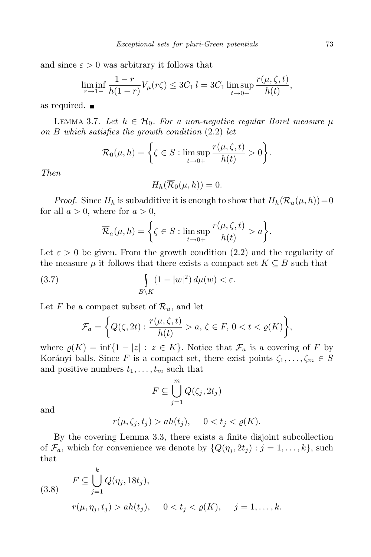and since  $\varepsilon > 0$  was arbitrary it follows that

$$
\liminf_{r \to 1-} \frac{1-r}{h(1-r)} V_{\mu}(r\zeta) \le 3C_1 l = 3C_1 \limsup_{t \to 0+} \frac{r(\mu, \zeta, t)}{h(t)},
$$

as required.

LEMMA 3.7. Let  $h \in \mathcal{H}_0$ . For a non-negative regular Borel measure  $\mu$ *on B which satisfies the growth condition* (2*.*2) *let*

$$
\overline{\mathcal{R}}_0(\mu, h) = \left\{ \zeta \in S : \limsup_{t \to 0+} \frac{r(\mu, \zeta, t)}{h(t)} > 0 \right\}.
$$

*Then*

$$
H_h(\overline{\mathcal{R}}_0(\mu, h)) = 0.
$$

*Proof.* Since  $H_h$  is subadditive it is enough to show that  $H_h(\overline{\mathcal{R}}_a(\mu, h)) = 0$ for all  $a > 0$ , where for  $a > 0$ ,

$$
\overline{\mathcal{R}}_a(\mu, h) = \left\{ \zeta \in S : \limsup_{t \to 0+} \frac{r(\mu, \zeta, t)}{h(t)} > a \right\}.
$$

Let  $\varepsilon > 0$  be given. From the growth condition (2.2) and the regularity of the measure  $\mu$  it follows that there exists a compact set  $K \subseteq B$  such that

(3.7) 
$$
\int_{B\setminus K} (1-|w|^2) d\mu(w) < \varepsilon.
$$

Let *F* be a compact subset of  $\overline{\mathcal{R}}_a$ , and let

$$
\mathcal{F}_a = \left\{ Q(\zeta, 2t) : \frac{r(\mu, \zeta, t)}{h(t)} > a, \, \zeta \in F, \, 0 < t < \varrho(K) \right\},\
$$

where  $\varrho(K) = \inf\{1 - |z| : z \in K\}$ . Notice that  $\mathcal{F}_a$  is a covering of *F* by Korányi balls. Since *F* is a compact set, there exist points  $\zeta_1, \ldots, \zeta_m \in S$ and positive numbers  $t_1, \ldots, t_m$  such that

$$
F\subseteq \bigcup_{j=1}^m Q(\zeta_j, 2t_j)
$$

and

$$
r(\mu, \zeta_j, t_j) > ah(t_j), \quad 0 < t_j < \varrho(K).
$$

By the covering Lemma 3*.*3, there exists a finite disjoint subcollection of  $\mathcal{F}_a$ , which for convenience we denote by  $\{Q(\eta_i, 2t_i) : j = 1, \ldots, k\}$ , such that

(3.8) 
$$
F \subseteq \bigcup_{j=1}^{k} Q(\eta_j, 18t_j),
$$

$$
r(\mu, \eta_j, t_j) > ah(t_j), \quad 0 < t_j < \varrho(K), \quad j = 1, ..., k.
$$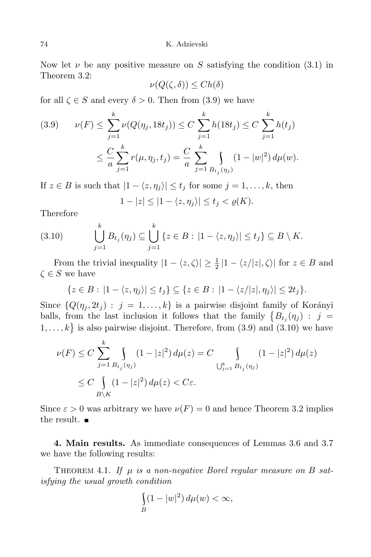Now let  $\nu$  be any positive measure on *S* satisfying the condition (3.1) in Theorem 3.2:

$$
\nu(Q(\zeta,\delta)) \le Ch(\delta)
$$

for all  $\zeta \in S$  and every  $\delta > 0$ . Then from (3.9) we have

$$
(3.9) \qquad \nu(F) \le \sum_{j=1}^k \nu(Q(\eta_j, 18t_j)) \le C \sum_{j=1}^k h(18t_j) \le C \sum_{j=1}^k h(t_j)
$$

$$
\le \frac{C}{a} \sum_{j=1}^k r(\mu, \eta_j, t_j) = \frac{C}{a} \sum_{j=1}^k \int_{B_{t_j}(\eta_j)} (1 - |w|^2) d\mu(w).
$$

If  $z \in B$  is such that  $|1 - \langle z, \eta_i \rangle| \le t_j$  for some  $j = 1, \ldots, k$ , then  $1 - |z| \leq |1 - \langle z, \eta_i \rangle| \leq t_i < \varrho(K).$ 

Therefore

$$
(3.10) \qquad \bigcup_{j=1}^k B_{t_j}(\eta_j) \subseteq \bigcup_{j=1}^k \left\{ z \in B : \left| 1 - \langle z, \eta_j \rangle \right| \le t_j \right\} \subseteq B \setminus K.
$$

From the trivial inequality  $|1 - \langle z, \zeta \rangle| \geq \frac{1}{2} |1 - \langle z/|z|, \zeta \rangle|$  for  $z \in B$  and  $\zeta \in S$  we have

$$
\{z \in B : |1 - \langle z, \eta_j \rangle| \le t_j\} \subseteq \{z \in B : |1 - \langle z/|z|, \eta_j \rangle| \le 2t_j\}.
$$

Since  $\{Q(\eta_i, 2t_j) : j = 1, \ldots, k\}$  is a pairwise disjoint family of Korányi balls, from the last inclusion it follows that the family  $\{B_{t_j}(\eta_j) : j = 1\}$  $1, \ldots, k$  is also pairwise disjoint. Therefore, from  $(3.9)$  and  $(3.10)$  we have

$$
\nu(F) \le C \sum_{j=1}^{k} \int_{B_{t_j}(\eta_j)} (1 - |z|^2) d\mu(z) = C \int_{\bigcup_{j=1}^{k} B_{t_j}(\eta_j)} (1 - |z|^2) d\mu(z)
$$
  

$$
\le C \int_{B \setminus K} (1 - |z|^2) d\mu(z) < C \varepsilon.
$$

Since  $\varepsilon > 0$  was arbitrary we have  $\nu(F) = 0$  and hence Theorem 3.2 implies the result.  $\blacksquare$ 

**4. Main results.** As immediate consequences of Lemmas 3.6 and 3.7 we have the following results:

THEOREM 4.1. If  $\mu$  is a non-negative Borel regular measure on B sat*isfying the usual growth condition*

$$
\int_{B} (1-|w|^2) d\mu(w) < \infty,
$$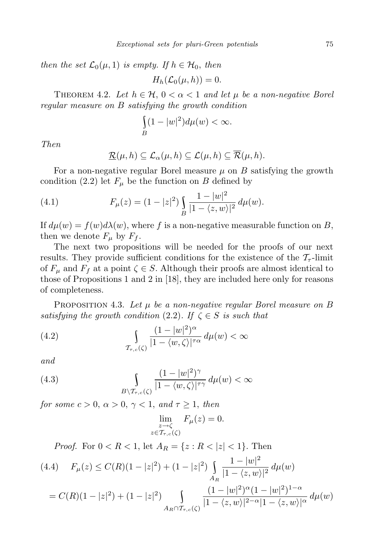*then the set*  $\mathcal{L}_0(\mu, 1)$  *is empty. If*  $h \in \mathcal{H}_0$ , *then* 

$$
H_h(\mathcal{L}_0(\mu, h)) = 0.
$$

THEOREM 4.2. Let  $h \in \mathcal{H}$ ,  $0 < \alpha < 1$  and let  $\mu$  be a non-negative Borel *regular measure on B satisfying the growth condition*

$$
\int_{B} (1-|w|^2) d\mu(w) < \infty.
$$

*Then*

$$
\underline{\mathcal{R}}(\mu, h) \subseteq \mathcal{L}_{\alpha}(\mu, h) \subseteq \mathcal{L}(\mu, h) \subseteq \mathcal{R}(\mu, h).
$$

For a non-negative regular Borel measure  $\mu$  on  $B$  satisfying the growth condition (2.2) let  $F_\mu$  be the function on *B* defined by

(4.1) 
$$
F_{\mu}(z) = (1 - |z|^2) \int_{B} \frac{1 - |w|^2}{|1 - \langle z, w \rangle|^2} d\mu(w).
$$

If  $d\mu(w) = f(w)d\lambda(w)$ , where f is a non-negative measurable function on B, then we denote  $F_\mu$  by  $F_f$ .

The next two propositions will be needed for the proofs of our next results. They provide sufficient conditions for the existence of the  $\mathcal{T}_{\tau}$ -limit of  $F_\mu$  and  $F_f$  at a point  $\zeta \in S$ . Although their proofs are almost identical to those of Propositions 1 and 2 in [18], they are included here only for reasons of completeness.

Proposition 4.3. *Let µ be a non-negative regular Borel measure on B satisfying the growth condition*  $(2.2)$ *. If*  $\zeta \in S$  *is such that* 

(4.2) 
$$
\int_{\mathcal{T}_{\tau,c}(\zeta)} \frac{(1-|w|^2)^{\alpha}}{|1-\langle w,\zeta\rangle|^{\tau\alpha}} d\mu(w) < \infty
$$

*and*

(4.3) 
$$
\int_{B\setminus\mathcal{T}_{\tau,c}(\zeta)}\frac{(1-|w|^2)^{\gamma}}{|1-\langle w,\zeta\rangle|^{\tau\gamma}}\,d\mu(w)<\infty
$$

*for some*  $c > 0$ ,  $\alpha > 0$ ,  $\gamma < 1$ , and  $\tau \geq 1$ , then

$$
\lim_{\substack{z \to \zeta \\ z \in \mathcal{T}_{\tau,c}(\zeta)}} F_{\mu}(z) = 0.
$$

*Proof.* For  $0 < R < 1$ , let  $A_R = \{z : R < |z| < 1\}$ . Then

$$
(4.4) \quad F_{\mu}(z) \le C(R)(1-|z|^2) + (1-|z|^2) \int_{A_R} \frac{1-|w|^2}{|1-\langle z,w\rangle|^2} \, d\mu(w)
$$

$$
= C(R)(1-|z|^2) + (1-|z|^2) \int\limits_{A_R \cap \mathcal{T}_{\tau,c}(\zeta)} \frac{(1-|w|^2)^{\alpha}(1-|w|^2)^{1-\alpha}}{|1-\langle z,w\rangle|^{2-\alpha}|1-\langle z,w\rangle|^{\alpha}} d\mu(w)
$$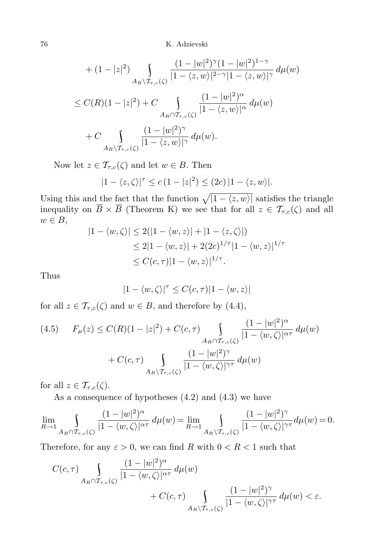76 K. Adzievski

+ 
$$
(1 - |z|^2)
$$

$$
\int_{A_R \setminus \mathcal{T}_{\tau,c}(\zeta)} \frac{(1 - |w|^2)^{\gamma} (1 - |w|^2)^{1 - \gamma}}{|1 - \langle z, w \rangle|^{2 - \gamma} |1 - \langle z, w \rangle|^{\gamma}} d\mu(w)
$$
  
\n $\leq C(R)(1 - |z|^2) + C \int_{A_R \cap \mathcal{T}_{\tau,c}(\zeta)} \frac{(1 - |w|^2)^{\alpha}}{|1 - \langle z, w \rangle|^{\alpha}} d\mu(w)$   
\n+  $C \int_{A_R \setminus \mathcal{T}_{\tau,c}(\zeta)} \frac{(1 - |w|^2)^{\gamma}}{|1 - \langle z, w \rangle|^{\gamma}} d\mu(w).$ 

Now let  $z \in \mathcal{T}_{\tau,c}(\zeta)$  and let  $w \in B$ . Then

$$
|1 - \langle z, \zeta \rangle|^{\tau} \le c (1 - |z|^2) \le (2c) |1 - \langle z, w \rangle|.
$$

Using this and the fact that the function  $\sqrt{|1 - \langle z, w \rangle|}$  satisfies the triangle inequality on  $B \times B$  (Theorem K) we see that for all  $z \in \mathcal{T}_{\tau,c}(\zeta)$  and all *w ∈ B*,

$$
|1 - \langle w, \zeta \rangle| \le 2(|1 - \langle w, z \rangle| + |1 - \langle z, \zeta \rangle|)
$$
  
\n
$$
\le 2|1 - \langle w, z \rangle| + 2(2c)^{1/\tau}|1 - \langle w, z \rangle|^{1/\tau}
$$
  
\n
$$
\le C(c, \tau)|1 - \langle w, z \rangle|^{1/\tau}.
$$

Thus

$$
|1 - \langle w, \zeta \rangle|^{\tau} \le C(c, \tau) |1 - \langle w, z \rangle|
$$

for all  $z \in \mathcal{T}_{\tau,c}(\zeta)$  and  $w \in B$ , and therefore by (4.4),

$$
(4.5) \tF_{\mu}(z) \le C(R)(1-|z|^2) + C(c,\tau) \int\limits_{A_R \cap T_{\tau,c}(\zeta)} \frac{(1-|w|^2)^{\alpha}}{|1-\langle w,\zeta \rangle|^{\alpha \tau}} d\mu(w) + C(c,\tau) \int\limits_{A_R \setminus T_{\tau,c}(\zeta)} \frac{(1-|w|^2)^{\gamma}}{|1-\langle w,\zeta \rangle|^{\gamma \tau}} d\mu(w)
$$

for all  $z \in \mathcal{T}_{\tau,c}(\zeta)$ .

As a consequence of hypotheses (4.2) and (4.3) we have

$$
\lim_{R \to 1} \int_{A_R \cap \mathcal{T}_{\tau,c}(\zeta)} \frac{(1 - |w|^2)^\alpha}{|1 - \langle w, \zeta \rangle|^{\alpha \tau}} d\mu(w) = \lim_{R \to 1} \int_{A_R \setminus \mathcal{T}_{\tau,c}(\zeta)} \frac{(1 - |w|^2)^\gamma}{|1 - \langle w, \zeta \rangle|^{\gamma \tau}} d\mu(w) = 0.
$$

Therefore, for any  $\varepsilon > 0$ , we can find *R* with  $0 < R < 1$  such that

$$
C(c, \tau) \int\limits_{A_R \cap T_{\tau,c}(\zeta)} \frac{(1-|w|^2)^{\alpha}}{|1-\langle w, \zeta \rangle|^{\alpha \tau}} d\mu(w) + C(c, \tau) \int\limits_{A_R \setminus T_{\tau,c}(\zeta)} \frac{(1-|w|^2)^{\gamma}}{|1-\langle w, \zeta \rangle|^{\gamma \tau}} d\mu(w) < \varepsilon.
$$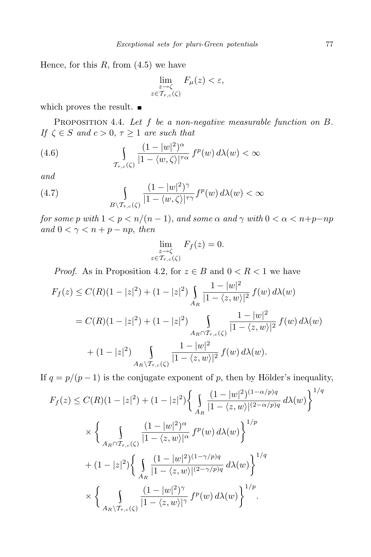Hence, for this *R*, from (4*.*5) we have

$$
\lim_{\substack{z \to \zeta \\ z \in \mathcal{T}_{\tau,c}(\zeta)}} F_{\mu}(z) < \varepsilon,
$$

which proves the result.  $\blacksquare$ 

Proposition 4.4. *Let f be a non-negative measurable function on B. If*  $\zeta \in S$  *and*  $c > 0$ ,  $\tau \geq 1$  *are such that* 

(4.6) 
$$
\int_{\mathcal{T}_{\tau,c}(\zeta)} \frac{(1-|w|^2)^{\alpha}}{|1-\langle w,\zeta\rangle|^{\tau\alpha}} f^p(w) d\lambda(w) < \infty
$$

*and*

(4.7) 
$$
\int_{B\setminus\mathcal{T}_{\tau,c}(\zeta)}\frac{(1-|w|^2)^{\gamma}}{|1-\langle w,\zeta\rangle|^{\tau\gamma}}f^p(w)\,d\lambda(w)<\infty
$$

*for some p*  $with$   $1 < p < n/(n-1)$ , and some  $\alpha$  and  $\gamma$  with  $0 < \alpha < n+p-np$ *and*  $0 < \gamma < n + p - np$ *, then* 

$$
\lim_{\substack{z \to \zeta \\ z \in \mathcal{T}_{\tau,c}(\zeta)}} F_f(z) = 0.
$$

*Proof.* As in Proposition 4.2, for  $z \in B$  and  $0 \lt R \lt 1$  we have

$$
F_f(z) \le C(R)(1 - |z|^2) + (1 - |z|^2) \int_{A_R} \frac{1 - |w|^2}{|1 - \langle z, w \rangle|^2} f(w) d\lambda(w)
$$
  
=  $C(R)(1 - |z|^2) + (1 - |z|^2) \int_{A_R \cap \mathcal{T}_{\tau,c}(\zeta)} \frac{1 - |w|^2}{|1 - \langle z, w \rangle|^2} f(w) d\lambda(w)$   
+  $(1 - |z|^2) \int_{A_R \setminus \mathcal{T}_{\tau,c}(\zeta)} \frac{1 - |w|^2}{|1 - \langle z, w \rangle|^2} f(w) d\lambda(w).$ 

If  $q = p/(p-1)$  is the conjugate exponent of p, then by Hölder's inequality,

$$
F_f(z) \le C(R)(1-|z|^2) + (1-|z|^2) \left\{ \int_{A_R} \frac{(1-|w|^2)^{(1-\alpha/p)q}}{|1-\langle z,w\rangle|^{(2-\alpha/p)q}} d\lambda(w) \right\}^{1/q}
$$
  
\$\times \left\{ \int\_{A\_R \cap T\_{\tau,c}(\zeta)} \frac{(1-|w|^2)^{\alpha}}{|1-\langle z,w\rangle|^{\alpha}} f^p(w) d\lambda(w) \right\}^{1/p}\$  
\$+ (1-|z|^2) \left\{ \int\_{A\_R} \frac{(1-|w|^2)^{(1-\gamma/p)q}}{|1-\langle z,w\rangle|^{(2-\gamma/p)q}} d\lambda(w) \right\}^{1/q}\$  
\$\times \left\{ \int\_{A\_R \setminus T\_{\tau,c}(\zeta)} \frac{(1-|w|^2)^{\gamma}}{|1-\langle z,w\rangle|^{\gamma}} f^p(w) d\lambda(w) \right\}^{1/p}\$.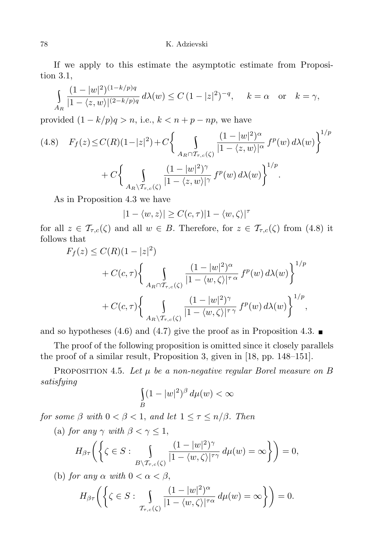If we apply to this estimate the asymptotic estimate from Proposition 3.1,

$$
\int_{A_R} \frac{(1-|w|^2)^{(1-k/p)q}}{|1-\langle z,w\rangle|^{(2-k/p)q}} d\lambda(w) \le C (1-|z|^2)^{-q}, \quad k=\alpha \quad \text{or} \quad k=\gamma,
$$

provided  $(1 - k/p)q > n$ , i.e.,  $k < n + p - np$ , we have

$$
(4.8) \quad F_f(z) \le C(R)(1-|z|^2) + C \bigg\{ \int\limits_{A_R \cap T_{\tau,c}(\zeta)} \frac{(1-|w|^2)^\alpha}{|1-\langle z,w\rangle|^\alpha} f^p(w) d\lambda(w) \bigg\}^{1/p} + C \bigg\{ \int\limits_{A_R \setminus T_{\tau,c}(\zeta)} \frac{(1-|w|^2)^\gamma}{|1-\langle z,w\rangle|^\gamma} f^p(w) d\lambda(w) \bigg\}^{1/p}.
$$

As in Proposition 4*.*3 we have

$$
|1 - \langle w, z \rangle| \ge C(c, \tau) |1 - \langle w, \zeta \rangle|^{\tau}
$$

for all  $z \in \mathcal{T}_{\tau,c}(\zeta)$  and all  $w \in B$ . Therefore, for  $z \in \mathcal{T}_{\tau,c}(\zeta)$  from (4.8) it follows that

$$
F_f(z) \le C(R)(1-|z|^2)
$$
  
+  $C(c,\tau) \left\{ \int_{A_R \cap T_{\tau,c}(\zeta)} \frac{(1-|w|^2)^\alpha}{|1-\langle w,\zeta\rangle|^{\tau\alpha}} f^p(w) d\lambda(w) \right\}^{1/p}$   
+  $C(c,\tau) \left\{ \int_{A_R \setminus T_{\tau,c}(\zeta)} \frac{(1-|w|^2)^\gamma}{|1-\langle w,\zeta\rangle|^{\tau\gamma}} f^p(w) d\lambda(w) \right\}^{1/p},$ 

and so hypotheses (4.6) and (4.7) give the proof as in Proposition 4.3.  $\blacksquare$ 

The proof of the following proposition is omitted since it closely parallels the proof of a similar result, Proposition 3, given in [18, pp. 148–151].

PROPOSITION 4.5. Let  $\mu$  be a non-negative regular Borel measure on B *satisfying*

$$
\int_{B} (1-|w|^2)^{\beta} d\mu(w) < \infty
$$

*for some*  $\beta$  *with*  $0 < \beta < 1$ *, and let*  $1 \leq \tau \leq n/\beta$ *. Then* 

(a) *for any*  $\gamma$  *with*  $\beta < \gamma \leq 1$ ,

$$
H_{\beta\tau}\bigg(\bigg\{\zeta\in S:\,\int\limits_{B\setminus\mathcal{T}_{\tau,c}(\zeta)}\frac{(1-|w|^2)^{\gamma}}{|1-\langle w,\zeta\rangle|^{\tau\gamma}}\,d\mu(w)=\infty\bigg\}\bigg)=0,
$$

(b) *for any*  $\alpha$  *with*  $0 < \alpha < \beta$ ,

$$
H_{\beta\tau}\left(\left\{\zeta\in S:\,\int\limits_{\mathcal{T}_{\tau,c}(\zeta)}\frac{(1-|w|^2)^{\alpha}}{|1-\langle w,\zeta\rangle|^{\tau\alpha}}\,d\mu(w)=\infty\right\}\right)=0.
$$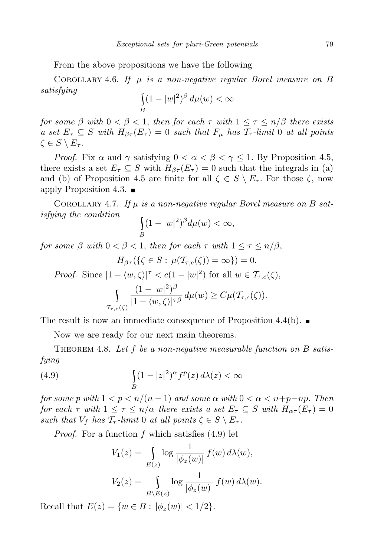From the above propositions we have the following

COROLLARY 4.6. If  $\mu$  *is a non-negative regular Borel measure on B satisfying* \

$$
\int_{B} (1 - |w|^2)^{\beta} d\mu(w) < \infty
$$

*for some*  $\beta$  *with*  $0 < \beta < 1$ *, then for each*  $\tau$  *with*  $1 \leq \tau \leq n/\beta$  *there exists a set*  $E_{\tau} \subseteq S$  *with*  $H_{\beta\tau}(E_{\tau}) = 0$  *such that*  $F_{\mu}$  *has*  $\mathcal{T}_{\tau}$ -*limit* 0 *at all points*  $\zeta \in S \setminus E_{\tau}$ .

*Proof.* Fix  $\alpha$  and  $\gamma$  satisfying  $0 < \alpha < \beta < \gamma \leq 1$ . By Proposition 4.5, there exists a set  $E_{\tau} \subseteq S$  with  $H_{\beta\tau}(E_{\tau}) = 0$  such that the integrals in (a) and (b) of Proposition 4.5 are finite for all  $\zeta \in S \setminus E_\tau$ . For those  $\zeta$ , now apply Proposition 4.3.  $\blacksquare$ 

COROLLARY 4.7. If  $\mu$  is a non-negative regular Borel measure on B sat*isfying the condition* \

$$
\int_{B} (1-|w|^2)^{\beta} d\mu(w) < \infty,
$$

*for some*  $\beta$  *with*  $0 < \beta < 1$ *, then for each*  $\tau$  *with*  $1 \leq \tau \leq n/\beta$ *,* 

$$
H_{\beta\tau}(\{\zeta \in S : \mu(\mathcal{T}_{\tau,c}(\zeta)) = \infty\}) = 0.
$$

*Proof.* Since  $|1 - \langle w, \zeta \rangle|^{\tau} < c(1 - |w|^2)$  for all  $w \in \mathcal{T}_{\tau,c}(\zeta)$ ,

$$
\int_{\mathcal{T}_{\tau,c}(\zeta)}\frac{(1-|w|^2)^{\beta}}{|1-\langle w,\zeta\rangle|^{\tau\beta}}\,d\mu(w)\geq C\mu(\mathcal{T}_{\tau,c}(\zeta)).
$$

The result is now an immediate consequence of Proposition  $4.4(b)$ .

Now we are ready for our next main theorems.

Theorem 4.8. *Let f be a non-negative measurable function on B satisfying*

(4.9) 
$$
\int_{B} (1-|z|^2)^{\alpha} f^{p}(z) d\lambda(z) < \infty
$$

*for some p* with  $1 < p < n/(n-1)$  and some  $\alpha$  with  $0 < \alpha < n+p-np$ . Then *for each*  $\tau$  *with*  $1 \leq \tau \leq n/\alpha$  *there exists a set*  $E_{\tau} \subseteq S$  *with*  $H_{\alpha\tau}(E_{\tau}) = 0$ *such that*  $V_f$  *has*  $\mathcal{T}_{\tau}$ -*limit* 0 *at all points*  $\zeta \in S \setminus E_{\tau}$ .

*Proof.* For a function *f* which satisfies (4*.*9) let

$$
V_1(z) = \int_{E(z)} \log \frac{1}{|\phi_z(w)|} f(w) d\lambda(w),
$$
  

$$
V_2(z) = \int_{B \setminus E(z)} \log \frac{1}{|\phi_z(w)|} f(w) d\lambda(w).
$$

Recall that  $E(z) = \{w \in B : |\phi_z(w)| < 1/2\}.$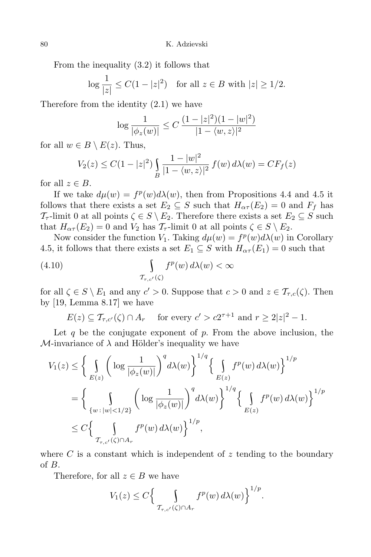From the inequality (3*.*2) it follows that

$$
\log \frac{1}{|z|} \le C(1 - |z|^2) \quad \text{for all } z \in B \text{ with } |z| \ge 1/2.
$$

Therefore from the identity (2*.*1) we have

$$
\log \frac{1}{|\phi_z(w)|} \le C \, \frac{(1-|z|^2)(1-|w|^2)}{|1-\langle w, z \rangle|^2}
$$

for all  $w \in B \setminus E(z)$ . Thus,

$$
V_2(z) \le C(1 - |z|^2) \int_B \frac{1 - |w|^2}{|1 - \langle w, z \rangle|^2} f(w) d\lambda(w) = C F_f(z)
$$

for all  $z \in B$ .

If we take  $d\mu(w) = f^p(w)d\lambda(w)$ , then from Propositions 4.4 and 4.5 it follows that there exists a set  $E_2 \subseteq S$  such that  $H_{\alpha\tau}(E_2) = 0$  and  $F_f$  has *T*<sub>*τ*</sub>-limit 0 at all points  $\zeta \in S \setminus E_2$ . Therefore there exists a set  $E_2 \subseteq S$  such that  $H_{\alpha\tau}(E_2) = 0$  and  $V_2$  has  $\mathcal{T}_{\tau}$ -limit 0 at all points  $\zeta \in S \setminus E_2$ .

Now consider the function *V*<sub>1</sub>. Taking  $d\mu(w) = f^p(w)d\lambda(w)$  in Corollary 4.5, it follows that there exists a set  $E_1 \subseteq S$  with  $H_{\alpha\tau}(E_1) = 0$  such that

(4.10) 
$$
\int_{\mathcal{T}_{\tau,c'}(\zeta)} f^p(w) d\lambda(w) < \infty
$$

for all  $\zeta \in S \setminus E_1$  and any  $c' > 0$ . Suppose that  $c > 0$  and  $z \in \mathcal{T}_{\tau,c}(\zeta)$ . Then by [19, Lemma 8.17] we have

 $E(z) \subseteq \mathcal{T}_{\tau,c'}(\zeta) \cap A_r$  for every  $c' > c2^{\tau+1}$  and  $r \geq 2|z|^2 - 1$ .

Let *q* be the conjugate exponent of *p*. From the above inclusion, the *M*-invariance of  $\lambda$  and Hölder's inequality we have

$$
V_1(z) \le \left\{ \int_{E(z)} \left( \log \frac{1}{|\phi_z(w)|} \right)^q d\lambda(w) \right\}^{1/q} \left\{ \int_{E(z)} f^p(w) d\lambda(w) \right\}^{1/p}
$$
  
= 
$$
\left\{ \int_{\{w : |w| < 1/2\}} \left( \log \frac{1}{|\phi_z(w)|} \right)^q d\lambda(w) \right\}^{1/q} \left\{ \int_{E(z)} f^p(w) d\lambda(w) \right\}^{1/p}
$$
  

$$
\le C \left\{ \int_{T_{\tau,c'}(\zeta) \cap A_r} f^p(w) d\lambda(w) \right\}^{1/p},
$$

where  $C$  is a constant which is independent of  $z$  tending to the boundary of *B*.

Therefore, for all  $z \in B$  we have

$$
V_1(z) \le C \Big\{ \int_{\mathcal{T}_{\tau,c'}(\zeta) \cap A_r} f^p(w) d\lambda(w) \Big\}^{1/p}.
$$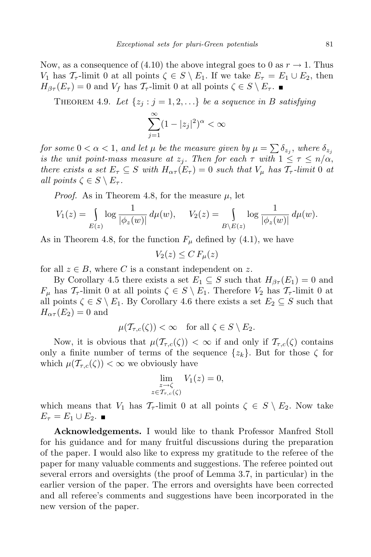Now, as a consequence of  $(4.10)$  the above integral goes to 0 as  $r \rightarrow 1$ . Thus *V*<sub>1</sub> has  $\mathcal{T}_{\tau}$ -limit 0 at all points  $\zeta \in S \setminus E_1$ . If we take  $E_{\tau} = E_1 \cup E_2$ , then  $H_{\beta\tau}(E_{\tau}) = 0$  and  $V_f$  has  $\mathcal{T}_{\tau}$ -limit 0 at all points  $\zeta \in S \setminus E_{\tau}$ .

THEOREM 4.9. Let  $\{z_j : j = 1, 2, ...\}$  be a sequence in *B* satisfying

$$
\sum_{j=1}^{\infty} (1-|z_j|^2)^{\alpha} < \infty
$$

*for some*  $0 < \alpha < 1$ *, and let*  $\mu$  *be the measure given by*  $\mu = \sum \delta_{z_j}$ *, where*  $\delta_{z_j}$ *is the unit point-mass measure at*  $z_j$ . Then for each  $\tau$  with  $1 \leq \tau \leq n/\alpha$ , *there exists a set*  $E_{\tau} \subseteq S$  *with*  $H_{\alpha\tau}(E_{\tau}) = 0$  *such that*  $V_{\mu}$  *has*  $\mathcal{T}_{\tau}$ -*limit* 0 *at all points*  $\zeta \in S \setminus E_{\tau}$ .

*Proof.* As in Theorem 4.8, for the measure  $\mu$ , let

$$
V_1(z) = \int_{E(z)} \log \frac{1}{|\phi_z(w)|} d\mu(w), \quad V_2(z) = \int_{B \setminus E(z)} \log \frac{1}{|\phi_z(w)|} d\mu(w).
$$

As in Theorem 4.8, for the function  $F_\mu$  defined by (4.1), we have

$$
V_2(z) \le C F_\mu(z)
$$

for all  $z \in B$ , where C is a constant independent on z.

By Corollary 4.5 there exists a set  $E_1 \subseteq S$  such that  $H_{\beta\tau}(E_1) = 0$  and *F<sub>µ</sub>* has  $\mathcal{T}_{\tau}$ -limit 0 at all points  $\zeta \in S \setminus E_1$ . Therefore  $V_2$  has  $\mathcal{T}_{\tau}$ -limit 0 at all points  $\zeta \in S \setminus E_1$ . By Corollary 4.6 there exists a set  $E_2 \subseteq S$  such that  $H_{\alpha\tau}(E_2) = 0$  and

$$
\mu(\mathcal{T}_{\tau,c}(\zeta)) < \infty \quad \text{for all } \zeta \in S \setminus E_2.
$$

Now, it is obvious that  $\mu(\mathcal{T}_{\tau,c}(\zeta)) < \infty$  if and only if  $\mathcal{T}_{\tau,c}(\zeta)$  contains only a finite number of terms of the sequence  $\{z_k\}$ . But for those  $\zeta$  for which  $\mu(\mathcal{T}_{\tau,c}(\zeta)) < \infty$  we obviously have

$$
\lim_{\substack{z \to \zeta \\ z \in \mathcal{T}_{\tau,c}(\zeta)}} V_1(z) = 0,
$$

which means that  $V_1$  has  $\mathcal{T}_{\tau}$ -limit 0 at all points  $\zeta \in S \setminus E_2$ . Now take  $E_{\tau}$  =  $E_1 \cup E_2$ . ■

**Acknowledgements.** I would like to thank Professor Manfred Stoll for his guidance and for many fruitful discussions during the preparation of the paper. I would also like to express my gratitude to the referee of the paper for many valuable comments and suggestions. The referee pointed out several errors and oversights (the proof of Lemma 3*.*7, in particular) in the earlier version of the paper. The errors and oversights have been corrected and all referee's comments and suggestions have been incorporated in the new version of the paper.